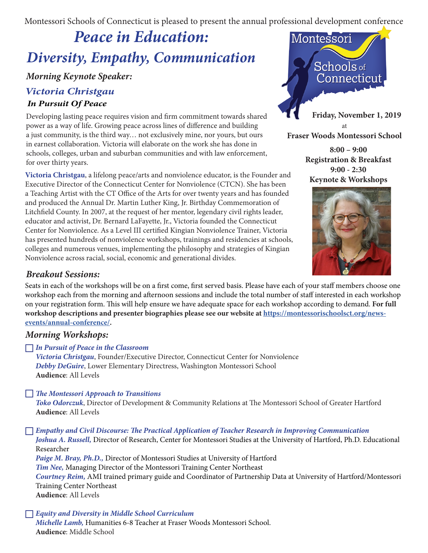Montessori Schools of Connecticut is pleased to present the annual professional development conference

# *Peace in Education: Diversity, Empathy, Communication*

# *Morning Keynote Speaker:*

# *Victoria Christgau In Pursuit Of Peace*

Developing lasting peace requires vision and firm commitment towards shared power as a way of life. Growing peace across lines of difference and building a just community, is the third way… not exclusively mine, nor yours, but ours in earnest collaboration. Victoria will elaborate on the work she has done in schools, colleges, urban and suburban communities and with law enforcement, for over thirty years.

**Victoria Christgau**, a lifelong peace/arts and nonviolence educator, is the Founder and Executive Director of the Connecticut Center for Nonviolence (CTCN). She has been a Teaching Artist with the CT Office of the Arts for over twenty years and has founded and produced the Annual Dr. Martin Luther King, Jr. Birthday Commemoration of Litchfield County. In 2007, at the request of her mentor, legendary civil rights leader, educator and activist, Dr. Bernard LaFayette, Jr., Victoria founded the Connecticut Center for Nonviolence. As a Level III certified Kingian Nonviolence Trainer, Victoria has presented hundreds of nonviolence workshops, trainings and residencies at schools, colleges and numerous venues, implementing the philosophy and strategies of Kingian Nonviolence across racial, social, economic and generational divides.

### *Breakout Sessions:*

Seats in each of the workshops will be on a first come, first served basis. Please have each of your staff members choose one workshop each from the morning and afternoon sessions and include the total number of staff interested in each workshop on your registration form. This will help ensure we have adequate space for each workshop according to demand. **For full workshop descriptions and presenter biographies please see our website at https://montessorischoolsct.org/newsevents/annual-conference/.** 

## *Morning Workshops:*

*In Pursuit of Peace in the Classroom*

*Victoria Christgau*, Founder/Executive Director, Connecticut Center for Nonviolence *Debby DeGuire*, Lower Elementary Directress, Washington Montessori School **Audience**: All Levels

### *The Montessori Approach to Transitions*

*Toko Odorczuk*, Director of Development & Community Relations at The Montessori School of Greater Hartford **Audience**: All Levels

#### *Empathy and Civil Discourse: The Practical Application of Teacher Research in Improving Communication Joshua A. Russell,* Director of Research, Center for Montessori Studies at the University of Hartford, Ph.D. Educational

Researcher

*Paige M. Bray, Ph.D.,* Director of Montessori Studies at University of Hartford *Tim Nee,* Managing Director of the Montessori Training Center Northeast

*Courtney Reim,* AMI trained primary guide and Coordinator of Partnership Data at University of Hartford/Montessori Training Center Northeast

**Audience**: All Levels

### *Equity and Diversity in Middle School Curriculum*

*Michelle Lamb,* Humanities 6-8 Teacher at Fraser Woods Montessori School. **Audience**: Middle School



**Fraser Woods Montessori School**

**8:00 – 9:00 Registration & Breakfast 9:00 - 2:30 Keynote & Workshops**

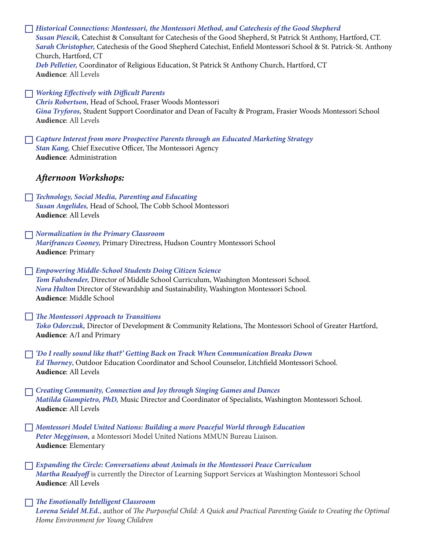*Historical Connections: Montessori, the Montessori Method, and Catechesis of the Good Shepherd Susan Piescik,* Catechist & Consultant for Catechesis of the Good Shepherd, St Patrick St Anthony, Hartford, CT. *Sarah Christopher,* Catechesis of the Good Shepherd Catechist, Enfield Montessori School & St. Patrick-St. Anthony Church, Hartford, CT *Deb Pelletier,* Coordinator of Religious Education, St Patrick St Anthony Church, Hartford, CT **Audience**: All Levels *Working Effectively with Difficult Parents Chris Robertson,* Head of School, Fraser Woods Montessori *Gina Tryforos,* Student Support Coordinator and Dean of Faculty & Program, Frasier Woods Montessori School **Audience**: All Levels *Capture Interest from more Prospective Parents through an Educated Marketing Strategy Stan Kang,* Chief Executive Officer, The Montessori Agency **Audience**: Administration *Afternoon Workshops: Technology, Social Media, Parenting and Educating Susan Angelides,* Head of School, The Cobb School Montessori **Audience**: All Levels *Normalization in the Primary Classroom Marifrances Cooney,* Primary Directress, Hudson Country Montessori School **Audience**: Primary *Empowering Middle-School Students Doing Citizen Science Tom Fahsbender,* Director of Middle School Curriculum, Washington Montessori School. *Nora Hulton* Director of Stewardship and Sustainability, Washington Montessori School. **Audience**: Middle School *The Montessori Approach to Transitions Toko Odorczuk,* Director of Development & Community Relations, The Montessori School of Greater Hartford, **Audience**: A/I and Primary *'Do I really sound like that?' Getting Back on Track When Communication Breaks Down Ed Thorney*, Outdoor Education Coordinator and School Counselor, Litchfield Montessori School. **Audience**: All Levels *Creating Community, Connection and Joy through Singing Games and Dances Matilda Giampietro, PhD,* Music Director and Coordinator of Specialists, Washington Montessori School. **Audience**: All Levels *Montessori Model United Nations: Building a more Peaceful World through Education Peter Megginson,* a Montessori Model United Nations MMUN Bureau Liaison. **Audience**: Elementary *Expanding the Circle: Conversations about Animals in the Montessori Peace Curriculum Martha Readyoff* is currently the Director of Learning Support Services at Washington Montessori School **Audience**: All Levels *The Emotionally Intelligent Classroom Lorena Seidel M.Ed.*, author of *The Purposeful Child: A Quick and Practical Parenting Guide to Creating the Optimal Home Environment for Young Children*